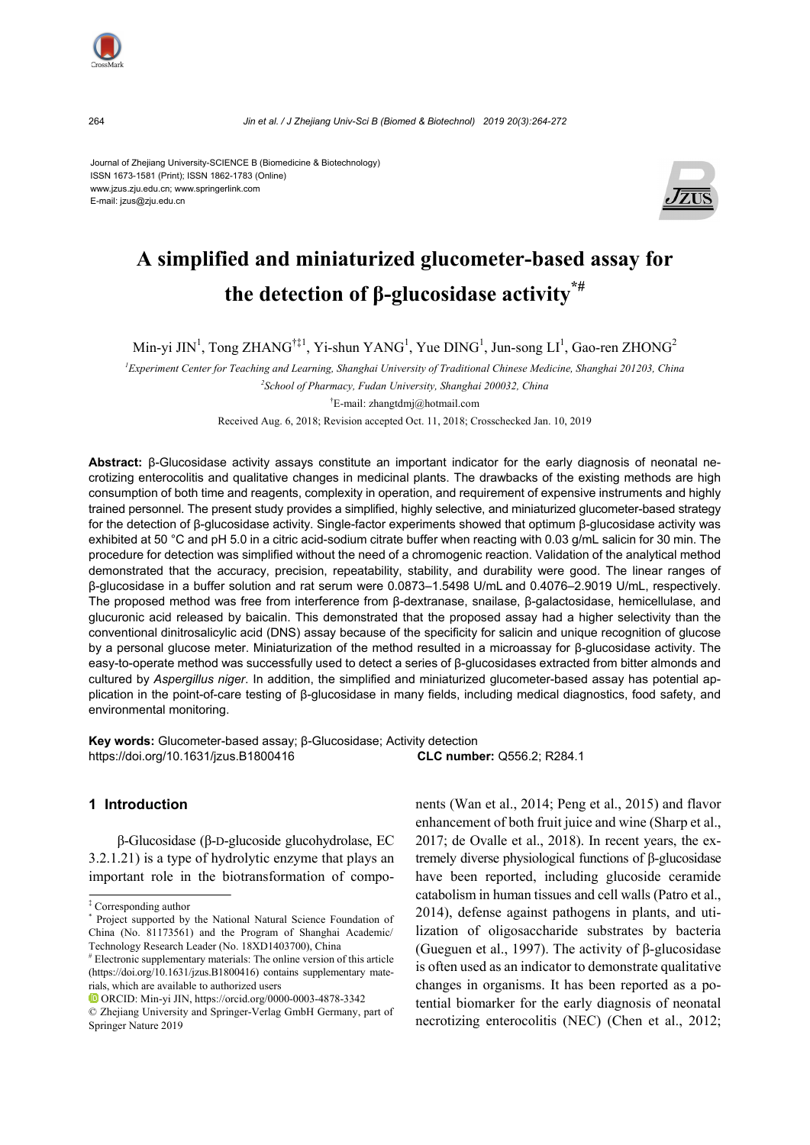

264 *Jin et al*. */ J Zhejiang Univ-Sci B (Biomed & Biotechnol) 2019 20(3):264-272*

Journal of Zhejiang University-SCIENCE B (Biomedicine & Biotechnology) ISSN 1673-1581 (Print); ISSN 1862-1783 (Online) www.jzus.zju.edu.cn; www.springerlink.com E-mail: jzus@zju.edu.cn



# **A simplified and miniaturized glucometer-based assay for the detection of β-glucosidase activity\*#**

Min-yi JIN<sup>1</sup>, Tong ZHANG<sup>†‡1</sup>, Yi-shun YANG<sup>1</sup>, Yue DING<sup>1</sup>, Jun-song LI<sup>1</sup>, Gao-ren ZHONG<sup>2</sup>

*1 Experiment Center for Teaching and Learning, Shanghai University of Traditional Chinese Medicine, Shanghai 201203, China 2 School of Pharmacy, Fudan University, Shanghai 200032, China* 

† E-mail: zhangtdmj@hotmail.com

Received Aug. 6, 2018; Revision accepted Oct. 11, 2018; Crosschecked Jan. 10, 2019

**Abstract:** β-Glucosidase activity assays constitute an important indicator for the early diagnosis of neonatal necrotizing enterocolitis and qualitative changes in medicinal plants. The drawbacks of the existing methods are high consumption of both time and reagents, complexity in operation, and requirement of expensive instruments and highly trained personnel. The present study provides a simplified, highly selective, and miniaturized glucometer-based strategy for the detection of β-glucosidase activity. Single-factor experiments showed that optimum β-glucosidase activity was exhibited at 50 °C and pH 5.0 in a citric acid-sodium citrate buffer when reacting with 0.03 g/mL salicin for 30 min. The procedure for detection was simplified without the need of a chromogenic reaction. Validation of the analytical method demonstrated that the accuracy, precision, repeatability, stability, and durability were good. The linear ranges of β-glucosidase in a buffer solution and rat serum were 0.0873–1.5498 U/mL and 0.4076–2.9019 U/mL, respectively. The proposed method was free from interference from β-dextranase, snailase, β-galactosidase, hemicellulase, and glucuronic acid released by baicalin. This demonstrated that the proposed assay had a higher selectivity than the conventional dinitrosalicylic acid (DNS) assay because of the specificity for salicin and unique recognition of glucose by a personal glucose meter. Miniaturization of the method resulted in a microassay for β-glucosidase activity. The easy-to-operate method was successfully used to detect a series of β-glucosidases extracted from bitter almonds and cultured by *Aspergillus niger*. In addition, the simplified and miniaturized glucometer-based assay has potential application in the point-of-care testing of β-glucosidase in many fields, including medical diagnostics, food safety, and environmental monitoring.

**Key words:** Glucometer-based assay; β-Glucosidase; Activity detection https://doi.org/10.1631/jzus.B1800416 **CLC number:** Q556.2; R284.1

## **1 Introduction**

β-Glucosidase (β-D-glucoside glucohydrolase, EC 3.2.1.21) is a type of hydrolytic enzyme that plays an important role in the biotransformation of components (Wan et al., 2014; Peng et al., 2015) and flavor enhancement of both fruit juice and wine (Sharp et al., 2017; de Ovalle et al., 2018). In recent years, the extremely diverse physiological functions of β-glucosidase have been reported, including glucoside ceramide catabolism in human tissues and cell walls (Patro et al., 2014), defense against pathogens in plants, and utilization of oligosaccharide substrates by bacteria (Gueguen et al., 1997). The activity of β-glucosidase is often used as an indicator to demonstrate qualitative changes in organisms. It has been reported as a potential biomarker for the early diagnosis of neonatal necrotizing enterocolitis (NEC) (Chen et al., 2012;

<sup>‡</sup> Corresponding author

<sup>\*</sup> Project supported by the National Natural Science Foundation of China (No. 81173561) and the Program of Shanghai Academic/ Technology Research Leader (No. 18XD1403700), China

<sup>#</sup> Electronic supplementary materials: The online version of this article (https://doi.org/10.1631/jzus.B1800416) contains supplementary materials, which are available to authorized users

ORCID: Min-yi JIN, https://orcid.org/0000-0003-4878-3342

<sup>©</sup> Zhejiang University and Springer-Verlag GmbH Germany, part of Springer Nature 2019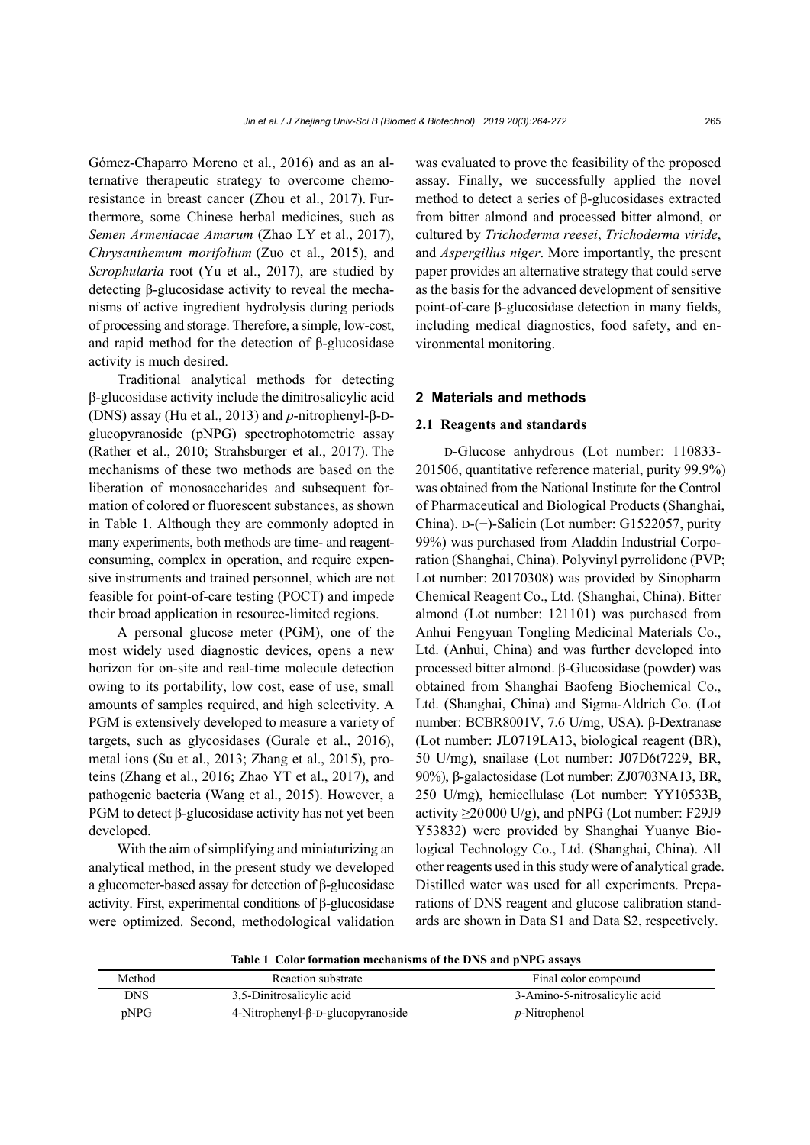Gómez-Chaparro Moreno et al., 2016) and as an alternative therapeutic strategy to overcome chemoresistance in breast cancer (Zhou et al., 2017). Furthermore, some Chinese herbal medicines, such as *Semen Armeniacae Amarum* (Zhao LY et al., 2017), *Chrysanthemum morifolium* (Zuo et al., 2015), and *Scrophularia* root (Yu et al., 2017), are studied by detecting β-glucosidase activity to reveal the mechanisms of active ingredient hydrolysis during periods of processing and storage. Therefore, a simple, low-cost, and rapid method for the detection of β-glucosidase activity is much desired.

Traditional analytical methods for detecting β-glucosidase activity include the dinitrosalicylic acid (DNS) assay (Hu et al., 2013) and *p*-nitrophenyl-β-Dglucopyranoside (pNPG) spectrophotometric assay (Rather et al., 2010; Strahsburger et al., 2017). The mechanisms of these two methods are based on the liberation of monosaccharides and subsequent formation of colored or fluorescent substances, as shown in Table 1. Although they are commonly adopted in many experiments, both methods are time- and reagentconsuming, complex in operation, and require expensive instruments and trained personnel, which are not feasible for point-of-care testing (POCT) and impede their broad application in resource-limited regions.

A personal glucose meter (PGM), one of the most widely used diagnostic devices, opens a new horizon for on-site and real-time molecule detection owing to its portability, low cost, ease of use, small amounts of samples required, and high selectivity. A PGM is extensively developed to measure a variety of targets, such as glycosidases (Gurale et al., 2016), metal ions (Su et al., 2013; Zhang et al., 2015), proteins (Zhang et al., 2016; Zhao YT et al., 2017), and pathogenic bacteria (Wang et al., 2015). However, a PGM to detect β-glucosidase activity has not yet been developed.

With the aim of simplifying and miniaturizing an analytical method, in the present study we developed a glucometer-based assay for detection of β-glucosidase activity. First, experimental conditions of β-glucosidase were optimized. Second, methodological validation

was evaluated to prove the feasibility of the proposed assay. Finally, we successfully applied the novel method to detect a series of β-glucosidases extracted from bitter almond and processed bitter almond, or cultured by *Trichoderma reesei*, *Trichoderma viride*, and *Aspergillus niger*. More importantly, the present paper provides an alternative strategy that could serve as the basis for the advanced development of sensitive point-of-care β-glucosidase detection in many fields, including medical diagnostics, food safety, and environmental monitoring.

# **2 Materials and methods**

## **2.1 Reagents and standards**

D-Glucose anhydrous (Lot number: 110833- 201506, quantitative reference material, purity 99.9%) was obtained from the National Institute for the Control of Pharmaceutical and Biological Products (Shanghai, China). D-(−)-Salicin (Lot number: G1522057, purity 99%) was purchased from Aladdin Industrial Corporation (Shanghai, China). Polyvinyl pyrrolidone (PVP; Lot number: 20170308) was provided by Sinopharm Chemical Reagent Co., Ltd. (Shanghai, China). Bitter almond (Lot number: 121101) was purchased from Anhui Fengyuan Tongling Medicinal Materials Co., Ltd. (Anhui, China) and was further developed into processed bitter almond. β-Glucosidase (powder) was obtained from Shanghai Baofeng Biochemical Co., Ltd. (Shanghai, China) and Sigma-Aldrich Co. (Lot number: BCBR8001V, 7.6 U/mg, USA). β-Dextranase (Lot number: JL0719LA13, biological reagent (BR), 50 U/mg), snailase (Lot number: J07D6t7229, BR, 90%), β-galactosidase (Lot number: ZJ0703NA13, BR, 250 U/mg), hemicellulase (Lot number: YY10533B, activity  $\geq$ 20000 U/g), and pNPG (Lot number: F29J9 Y53832) were provided by Shanghai Yuanye Biological Technology Co., Ltd. (Shanghai, China). All other reagents used in this study were of analytical grade. Distilled water was used for all experiments. Preparations of DNS reagent and glucose calibration standards are shown in Data S1 and Data S2, respectively.

**Table 1 Color formation mechanisms of the DNS and pNPG assays** 

| Method     | Reaction substrate                           | Final color compound          |
|------------|----------------------------------------------|-------------------------------|
| <b>DNS</b> | 3,5-Dinitrosalicylic acid                    | 3-Amino-5-nitrosalicylic acid |
| pNPG       | $4$ -Nitrophenyl- $\beta$ -D-glucopyranoside | <i>p</i> -Nitrophenol         |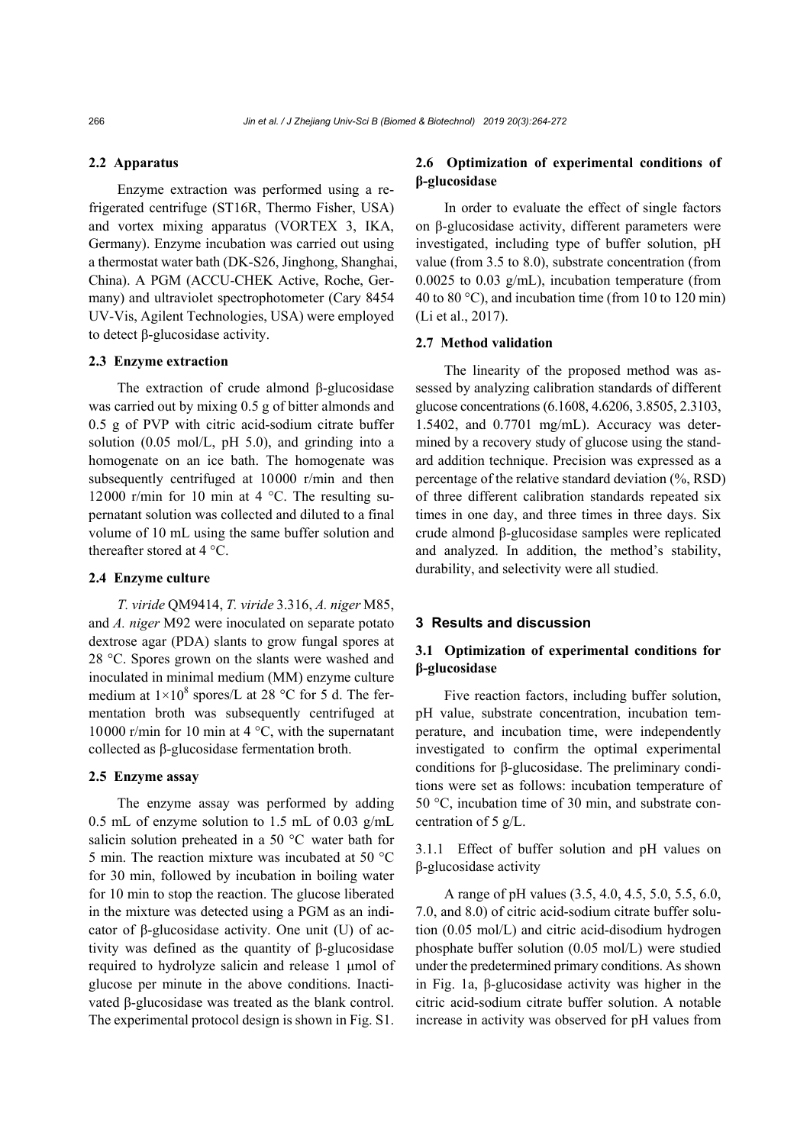#### **2.2 Apparatus**

Enzyme extraction was performed using a refrigerated centrifuge (ST16R, Thermo Fisher, USA) and vortex mixing apparatus (VORTEX 3, IKA, Germany). Enzyme incubation was carried out using a thermostat water bath (DK-S26, Jinghong, Shanghai, China). A PGM (ACCU-CHEK Active, Roche, Germany) and ultraviolet spectrophotometer (Cary 8454 UV-Vis, Agilent Technologies, USA) were employed to detect β-glucosidase activity.

#### **2.3 Enzyme extraction**

The extraction of crude almond β-glucosidase was carried out by mixing 0.5 g of bitter almonds and 0.5 g of PVP with citric acid-sodium citrate buffer solution (0.05 mol/L, pH 5.0), and grinding into a homogenate on an ice bath. The homogenate was subsequently centrifuged at 10000 r/min and then 12000 r/min for 10 min at 4 °C. The resulting supernatant solution was collected and diluted to a final volume of 10 mL using the same buffer solution and thereafter stored at 4 °C.

#### **2.4 Enzyme culture**

*T. viride* QM9414, *T. viride* 3.316, *A. niger* M85, and *A. niger* M92 were inoculated on separate potato dextrose agar (PDA) slants to grow fungal spores at 28 °C. Spores grown on the slants were washed and inoculated in minimal medium (MM) enzyme culture medium at  $1 \times 10^8$  spores/L at 28 °C for 5 d. The fermentation broth was subsequently centrifuged at 10000 r/min for 10 min at 4 °C, with the supernatant collected as β-glucosidase fermentation broth.

#### **2.5 Enzyme assay**

The enzyme assay was performed by adding 0.5 mL of enzyme solution to 1.5 mL of 0.03 g/mL salicin solution preheated in a 50 °C water bath for 5 min. The reaction mixture was incubated at 50 °C for 30 min, followed by incubation in boiling water for 10 min to stop the reaction. The glucose liberated in the mixture was detected using a PGM as an indicator of β-glucosidase activity. One unit (U) of activity was defined as the quantity of β-glucosidase required to hydrolyze salicin and release 1 μmol of glucose per minute in the above conditions. Inactivated β-glucosidase was treated as the blank control. The experimental protocol design is shown in Fig. S1.

# **2.6 Optimization of experimental conditions of β-glucosidase**

In order to evaluate the effect of single factors on β-glucosidase activity, different parameters were investigated, including type of buffer solution, pH value (from 3.5 to 8.0), substrate concentration (from 0.0025 to 0.03 g/mL), incubation temperature (from 40 to 80 °C), and incubation time (from 10 to 120 min) (Li et al., 2017).

#### **2.7 Method validation**

The linearity of the proposed method was assessed by analyzing calibration standards of different glucose concentrations (6.1608, 4.6206, 3.8505, 2.3103, 1.5402, and 0.7701 mg/mL). Accuracy was determined by a recovery study of glucose using the standard addition technique. Precision was expressed as a percentage of the relative standard deviation (%, RSD) of three different calibration standards repeated six times in one day, and three times in three days. Six crude almond β-glucosidase samples were replicated and analyzed. In addition, the method's stability, durability, and selectivity were all studied.

## **3 Results and discussion**

# **3.1 Optimization of experimental conditions for β-glucosidase**

Five reaction factors, including buffer solution, pH value, substrate concentration, incubation temperature, and incubation time, were independently investigated to confirm the optimal experimental conditions for β-glucosidase. The preliminary conditions were set as follows: incubation temperature of 50 °C, incubation time of 30 min, and substrate concentration of 5 g/L.

3.1.1 Effect of buffer solution and pH values on β-glucosidase activity

A range of pH values (3.5, 4.0, 4.5, 5.0, 5.5, 6.0, 7.0, and 8.0) of citric acid-sodium citrate buffer solution (0.05 mol/L) and citric acid-disodium hydrogen phosphate buffer solution (0.05 mol/L) were studied under the predetermined primary conditions. As shown in Fig. 1a, β-glucosidase activity was higher in the citric acid-sodium citrate buffer solution. A notable increase in activity was observed for pH values from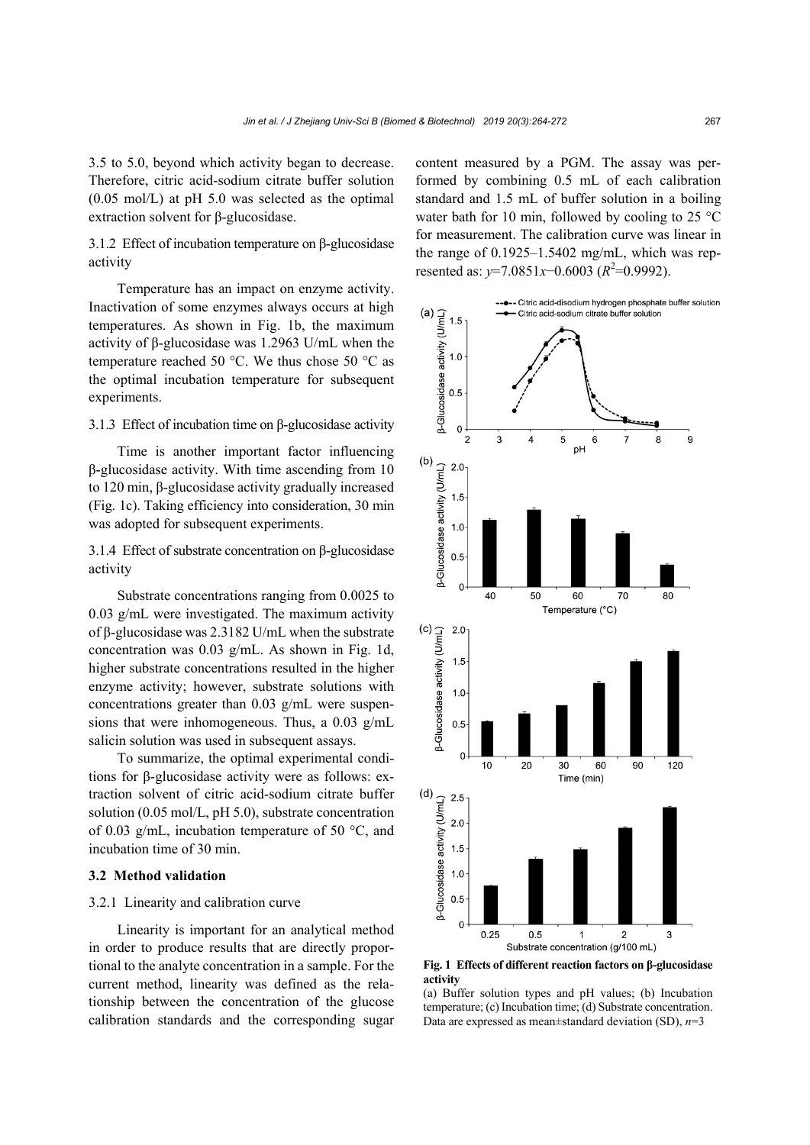3.5 to 5.0, beyond which activity began to decrease. Therefore, citric acid-sodium citrate buffer solution (0.05 mol/L) at pH 5.0 was selected as the optimal extraction solvent for β-glucosidase.

3.1.2 Effect of incubation temperature on β-glucosidase activity

Temperature has an impact on enzyme activity. Inactivation of some enzymes always occurs at high temperatures. As shown in Fig. 1b, the maximum activity of β-glucosidase was 1.2963 U/mL when the temperature reached 50 °C. We thus chose 50 °C as the optimal incubation temperature for subsequent experiments.

## 3.1.3 Effect of incubation time on β-glucosidase activity

Time is another important factor influencing β-glucosidase activity. With time ascending from 10 to 120 min, β-glucosidase activity gradually increased (Fig. 1c). Taking efficiency into consideration, 30 min was adopted for subsequent experiments.

3.1.4 Effect of substrate concentration on β-glucosidase activity

Substrate concentrations ranging from 0.0025 to 0.03 g/mL were investigated. The maximum activity of β-glucosidase was 2.3182 U/mL when the substrate concentration was 0.03 g/mL. As shown in Fig. 1d, higher substrate concentrations resulted in the higher enzyme activity; however, substrate solutions with concentrations greater than 0.03 g/mL were suspensions that were inhomogeneous. Thus, a 0.03 g/mL salicin solution was used in subsequent assays.

To summarize, the optimal experimental conditions for β-glucosidase activity were as follows: extraction solvent of citric acid-sodium citrate buffer solution (0.05 mol/L, pH 5.0), substrate concentration of 0.03 g/mL, incubation temperature of 50 °C, and incubation time of 30 min.

#### **3.2 Method validation**

#### 3.2.1 Linearity and calibration curve

Linearity is important for an analytical method in order to produce results that are directly proportional to the analyte concentration in a sample. For the current method, linearity was defined as the relationship between the concentration of the glucose calibration standards and the corresponding sugar content measured by a PGM. The assay was performed by combining 0.5 mL of each calibration standard and 1.5 mL of buffer solution in a boiling water bath for 10 min, followed by cooling to 25 °C for measurement. The calibration curve was linear in the range of 0.1925–1.5402 mg/mL, which was represented as:  $y=7.0851x-0.6003$  ( $R^2=0.9992$ ).



**Fig. 1 Effects of different reaction factors on β-glucosidase activity** 

(a) Buffer solution types and pH values; (b) Incubation temperature; (c) Incubation time; (d) Substrate concentration. Data are expressed as mean±standard deviation (SD), *n*=3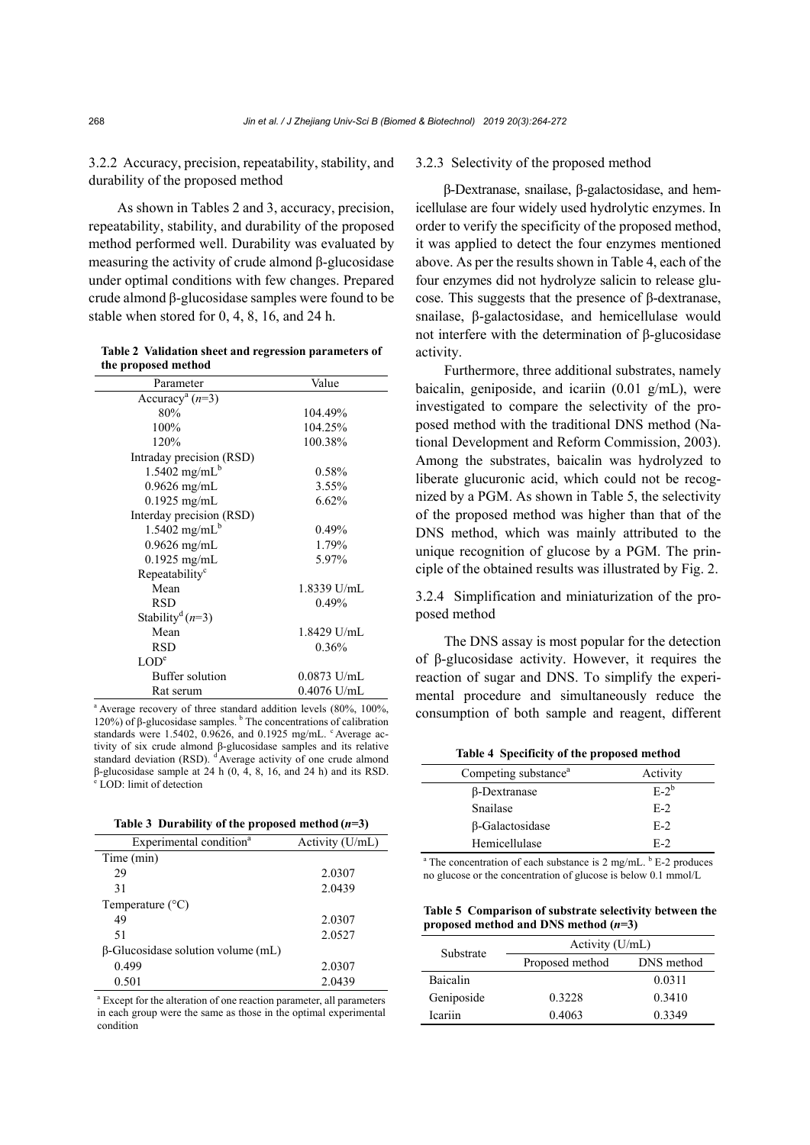3.2.2 Accuracy, precision, repeatability, stability, and durability of the proposed method

As shown in Tables 2 and 3, accuracy, precision, repeatability, stability, and durability of the proposed method performed well. Durability was evaluated by measuring the activity of crude almond β-glucosidase under optimal conditions with few changes. Prepared crude almond β-glucosidase samples were found to be stable when stored for 0, 4, 8, 16, and 24 h.

**Table 2 Validation sheet and regression parameters of the proposed method** 

| Parameter                             | Value         |
|---------------------------------------|---------------|
| Accuracy <sup>a</sup> $(n=3)$         |               |
| 80%                                   | 104.49%       |
| 100%                                  | 104.25%       |
| 120%                                  | 100.38%       |
| Intraday precision (RSD)              |               |
| $1.5402$ mg/mL <sup>b</sup>           | $0.58\%$      |
| $0.9626$ mg/mL                        | $3.55\%$      |
| $0.1925$ mg/mL                        | 6.62%         |
| Interday precision (RSD)              |               |
| $1.5402$ mg/mL <sup>b</sup>           | 0.49%         |
| $0.9626$ mg/mL                        | 1.79%         |
| $0.1925$ mg/mL                        | 5.97%         |
| Repeatability <sup>c</sup>            |               |
| Mean                                  | 1.8339 U/mL   |
| <b>RSD</b>                            | 0.49%         |
| Stability <sup>d</sup> ( <i>n</i> =3) |               |
| Mean                                  | 1.8429 U/mL   |
| RSD                                   | 0.36%         |
| LOD <sup>e</sup>                      |               |
| <b>Buffer</b> solution                | $0.0873$ U/mL |
| Rat serum                             | $0.4076$ U/mL |

<sup>a</sup> Average recovery of three standard addition levels (80%, 100%, 120%) of β-glucosidase samples.  $\frac{b}{n}$  The concentrations of calibration standards were 1.5402, 0.9626, and 0.1925 mg/mL. <sup>c</sup> Average activity of six crude almond β-glucosidase samples and its relative standard deviation (RSD). <sup>d'</sup>Average activity of one crude almond β-glucosidase sample at 24 h (0, 4, 8, 16, and 24 h) and its RSD. e LOD: limit of detection

| Table 3 Durability of the proposed method $(n=3)$ |  |  |
|---------------------------------------------------|--|--|
|                                                   |  |  |

| Experimental condition <sup>a</sup>       | Activity (U/mL) |
|-------------------------------------------|-----------------|
| Time (min)                                |                 |
| 29                                        | 2.0307          |
| 31                                        | 2.0439          |
| Temperature $(^{\circ}C)$                 |                 |
| 49                                        | 2.0307          |
| 51                                        | 2.0527          |
| $\beta$ -Glucosidase solution volume (mL) |                 |
| 0.499                                     | 2.0307          |
| 0.501                                     | 2.0439          |
|                                           |                 |

<sup>a</sup> Except for the alteration of one reaction parameter, all parameters in each group were the same as those in the optimal experimental condition

## 3.2.3 Selectivity of the proposed method

β-Dextranase, snailase, β-galactosidase, and hemicellulase are four widely used hydrolytic enzymes. In order to verify the specificity of the proposed method, it was applied to detect the four enzymes mentioned above. As per the results shown in Table 4, each of the four enzymes did not hydrolyze salicin to release glucose. This suggests that the presence of β-dextranase, snailase, β-galactosidase, and hemicellulase would not interfere with the determination of β-glucosidase activity.

Furthermore, three additional substrates, namely baicalin, geniposide, and icariin  $(0.01 \text{ g/mL})$ , were investigated to compare the selectivity of the proposed method with the traditional DNS method (National Development and Reform Commission, 2003). Among the substrates, baicalin was hydrolyzed to liberate glucuronic acid, which could not be recognized by a PGM. As shown in Table 5, the selectivity of the proposed method was higher than that of the DNS method, which was mainly attributed to the unique recognition of glucose by a PGM. The principle of the obtained results was illustrated by Fig. 2.

3.2.4 Simplification and miniaturization of the proposed method

The DNS assay is most popular for the detection of β-glucosidase activity. However, it requires the reaction of sugar and DNS. To simplify the experimental procedure and simultaneously reduce the consumption of both sample and reagent, different

#### **Table 4 Specificity of the proposed method**

| Competing substance <sup>a</sup> | Activity |
|----------------------------------|----------|
| $\beta$ -Dextranase              | $E-2^b$  |
| Snailase                         | $E-2$    |
| β-Galactosidase                  | $E-2$    |
| Hemicellulase                    | $F-2$    |

 $^a$  The concentration of each substance is 2 mg/mL.  $^b$  E-2 produces no glucose or the concentration of glucose is below 0.1 mmol/L

**Table 5 Comparison of substrate selectivity between the proposed method and DNS method (***n***=3)** 

| Substrate       | Activity (U/mL) |            |  |  |
|-----------------|-----------------|------------|--|--|
|                 | Proposed method | DNS method |  |  |
| <b>Baicalin</b> |                 | 0.0311     |  |  |
| Geniposide      | 0.3228          | 0.3410     |  |  |
| Icariin         | 0.4063          | 0 3 3 4 9  |  |  |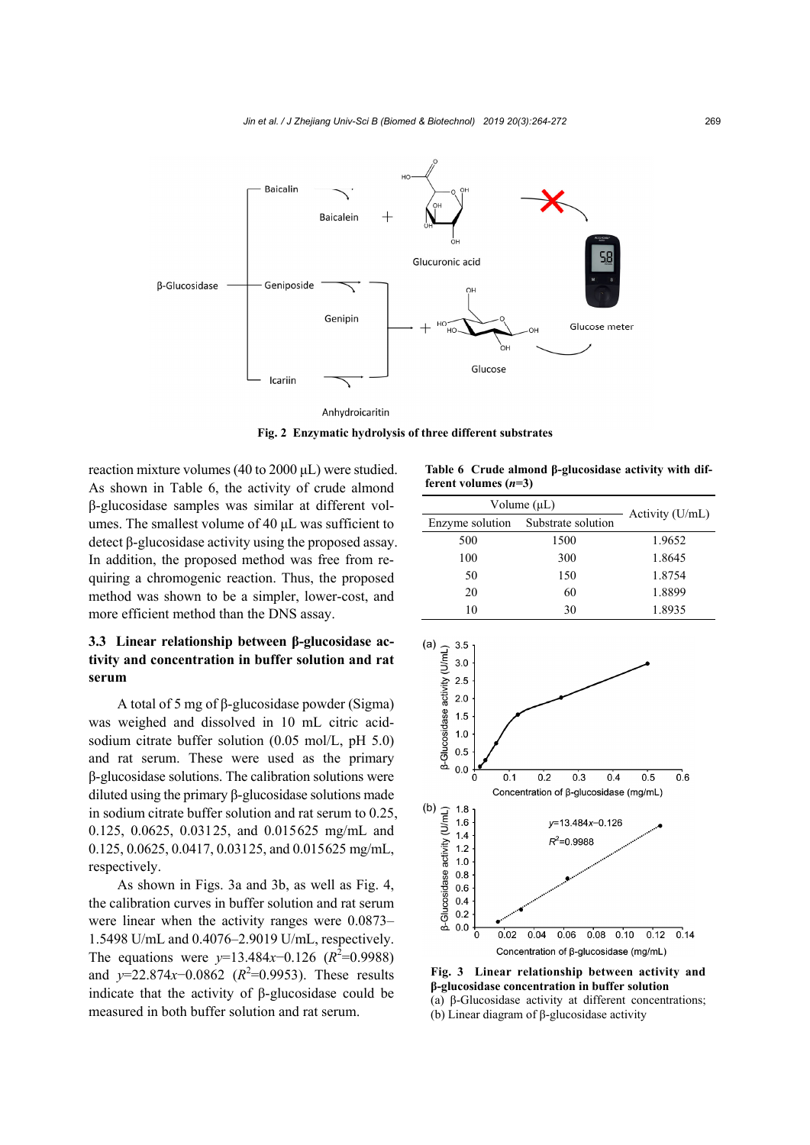

Anhydroicaritin

**Fig. 2 Enzymatic hydrolysis of three different substrates**

reaction mixture volumes (40 to 2000 μL) were studied. As shown in Table 6, the activity of crude almond β-glucosidase samples was similar at different volumes. The smallest volume of 40 μL was sufficient to detect β-glucosidase activity using the proposed assay. In addition, the proposed method was free from requiring a chromogenic reaction. Thus, the proposed method was shown to be a simpler, lower-cost, and more efficient method than the DNS assay.

# **3.3 Linear relationship between β-glucosidase activity and concentration in buffer solution and rat serum**

A total of 5 mg of β-glucosidase powder (Sigma) was weighed and dissolved in 10 mL citric acidsodium citrate buffer solution (0.05 mol/L, pH 5.0) and rat serum. These were used as the primary β-glucosidase solutions. The calibration solutions were diluted using the primary β-glucosidase solutions made in sodium citrate buffer solution and rat serum to 0.25, 0.125, 0.0625, 0.03125, and 0.015625 mg/mL and 0.125, 0.0625, 0.0417, 0.03125, and 0.015625 mg/mL, respectively.

As shown in Figs. 3a and 3b, as well as Fig. 4, the calibration curves in buffer solution and rat serum were linear when the activity ranges were 0.0873– 1.5498 U/mL and 0.4076–2.9019 U/mL, respectively. The equations were  $y=13.484x-0.126$  ( $R^2=0.9988$ ) and *y*=22.874*x*−0.0862 ( $R^2$ =0.9953). These results indicate that the activity of β-glucosidase could be measured in both buffer solution and rat serum.

**Table 6 Crude almond β-glucosidase activity with different volumes (***n***=3)** 

| Volume $(\mu L)$ |                    |                 |
|------------------|--------------------|-----------------|
| Enzyme solution  | Substrate solution | Activity (U/mL) |
| 500              | 1500               | 1.9652          |
| 100              | 300                | 1.8645          |
| 50               | 150                | 1.8754          |
| 20               | 60                 | 1.8899          |
| 10               | 30                 | 1.8935          |



**Fig. 3 Linear relationship between activity and β-glucosidase concentration in buffer solution**  (a) β-Glucosidase activity at different concentrations; (b) Linear diagram of β-glucosidase activity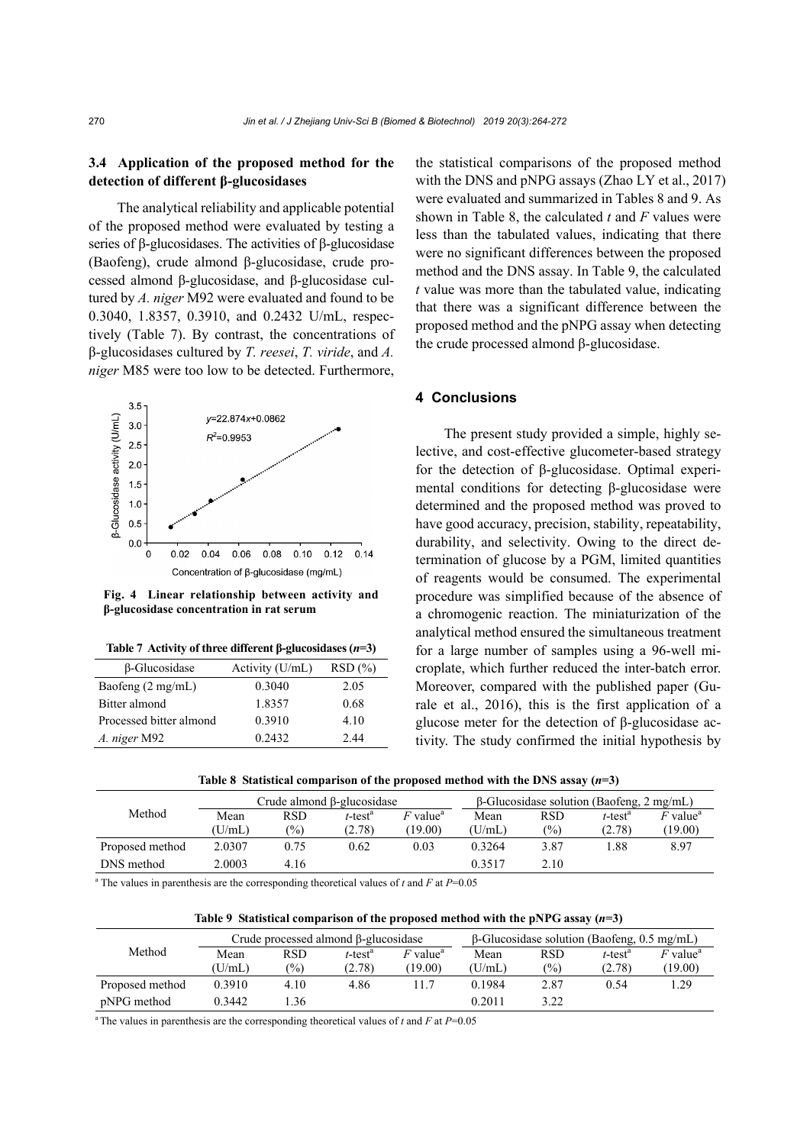## **3.4 Application of the proposed method for the detection of different β-glucosidases**

The analytical reliability and applicable potential of the proposed method were evaluated by testing a series of β-glucosidases. The activities of β-glucosidase (Baofeng), crude almond β-glucosidase, crude processed almond β-glucosidase, and β-glucosidase cultured by *A. niger* M92 were evaluated and found to be 0.3040, 1.8357, 0.3910, and 0.2432 U/mL, respectively (Table 7). By contrast, the concentrations of β-glucosidases cultured by *T. reesei*, *T. viride*, and *A. niger* M85 were too low to be detected. Furthermore,



**Fig. 4 Linear relationship between activity and β-glucosidase concentration in rat serum**

|  |  | Table 7 Activity of three different $\beta$ -glucosidases (n=3) |  |
|--|--|-----------------------------------------------------------------|--|
|  |  |                                                                 |  |

| $\beta$ -Glucosidase        | Activity (U/mL) | RSD(%) |
|-----------------------------|-----------------|--------|
| Baofeng $(2 \text{ mg/mL})$ | 0.3040          | 2.05   |
| Bitter almond               | 1.8357          | 0.68   |
| Processed bitter almond     | 0.3910          | 4.10   |
| A. niger M92                | 0.2432          | 2.44   |

the statistical comparisons of the proposed method with the DNS and pNPG assays (Zhao LY et al., 2017) were evaluated and summarized in Tables 8 and 9. As shown in Table 8, the calculated *t* and *F* values were less than the tabulated values, indicating that there were no significant differences between the proposed method and the DNS assay. In Table 9, the calculated *t* value was more than the tabulated value, indicating that there was a significant difference between the proposed method and the pNPG assay when detecting the crude processed almond β-glucosidase.

## **4 Conclusions**

The present study provided a simple, highly selective, and cost-effective glucometer-based strategy for the detection of β-glucosidase. Optimal experimental conditions for detecting β-glucosidase were determined and the proposed method was proved to have good accuracy, precision, stability, repeatability, durability, and selectivity. Owing to the direct determination of glucose by a PGM, limited quantities of reagents would be consumed. The experimental procedure was simplified because of the absence of a chromogenic reaction. The miniaturization of the analytical method ensured the simultaneous treatment for a large number of samples using a 96-well microplate, which further reduced the inter-batch error. Moreover, compared with the published paper (Gurale et al., 2016), this is the first application of a glucose meter for the detection of β-glucosidase activity. The study confirmed the initial hypothesis by

| Table 8 Statistical comparison of the proposed method with the DNS assay $(n=3)$ |  |  |  |  |
|----------------------------------------------------------------------------------|--|--|--|--|
|                                                                                  |  |  |  |  |

|                 | Crude almond B-glucosidase |               |                        |                        | $\beta$ -Glucosidase solution (Baofeng, 2 mg/mL) |               |                        |                        |
|-----------------|----------------------------|---------------|------------------------|------------------------|--------------------------------------------------|---------------|------------------------|------------------------|
| Method          | Mean                       | <b>RSD</b>    | $t$ -test <sup>a</sup> | $F$ value <sup>a</sup> | Mean                                             | <b>RSD</b>    | $t$ -test <sup>a</sup> | $F$ value <sup>a</sup> |
|                 | (U/mL)                     | $\frac{1}{2}$ | (2.78)                 | (19.00)                | (U/mL)                                           | $\frac{1}{2}$ | (2.78)                 | (19.00)                |
| Proposed method | 2.0307                     | 0.75          | 0.62                   | 0.03                   | 0.3264                                           | 3.87          | .88                    | 8.97                   |
| DNS method      | 2.0003                     | 4.16          |                        |                        | 0.3517                                           | 2.10          |                        |                        |

<sup>a</sup> The values in parenthesis are the corresponding theoretical values of  $t$  and  $F$  at  $P=0.05$ 

|  |  |  | Table 9 Statistical comparison of the proposed method with the pNPG assay $(n=3)$ |  |
|--|--|--|-----------------------------------------------------------------------------------|--|
|  |  |  |                                                                                   |  |

| Method          | Crude processed almond $\beta$ -glucosidase |               |                        |                        | $\beta$ -Glucosidase solution (Baofeng, 0.5 mg/mL) |               |                        |                        |
|-----------------|---------------------------------------------|---------------|------------------------|------------------------|----------------------------------------------------|---------------|------------------------|------------------------|
|                 | Mean                                        | <b>RSD</b>    | $t$ -test <sup>a</sup> | $F$ value <sup>a</sup> | Mean                                               | <b>RSD</b>    | $t$ -test <sup>a</sup> | $F$ value <sup>a</sup> |
|                 | (U/mL)                                      | $\frac{1}{2}$ | (2.78)                 | (19.00)                | (U/mL)                                             | $\frac{1}{2}$ | (2.78)                 | (19.00)                |
| Proposed method | 0.3910                                      | 4.10          | 4.86                   | 11.7                   | 0.1984                                             | 2.87          | 0.54                   | .29                    |
| pNPG method     | 0.3442                                      | .36           |                        |                        | 0.2011                                             | 3.22          |                        |                        |

<sup>a</sup> The values in parenthesis are the corresponding theoretical values of  $t$  and  $F$  at  $P=0.05$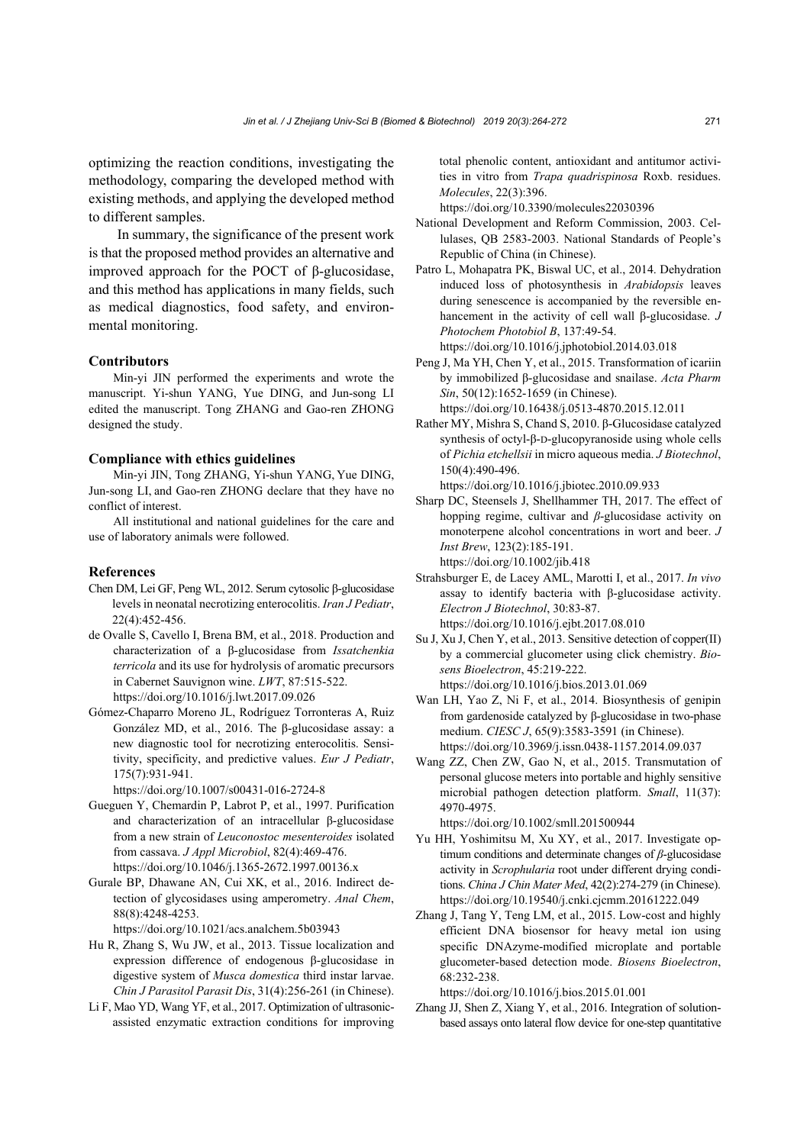optimizing the reaction conditions, investigating the methodology, comparing the developed method with existing methods, and applying the developed method to different samples.

In summary, the significance of the present work is that the proposed method provides an alternative and improved approach for the POCT of β-glucosidase, and this method has applications in many fields, such as medical diagnostics, food safety, and environmental monitoring.

#### **Contributors**

Min-yi JIN performed the experiments and wrote the manuscript. Yi-shun YANG, Yue DING, and Jun-song LI edited the manuscript. Tong ZHANG and Gao-ren ZHONG designed the study.

#### **Compliance with ethics guidelines**

Min-yi JIN, Tong ZHANG, Yi-shun YANG, Yue DING, Jun-song LI, and Gao-ren ZHONG declare that they have no conflict of interest.

All institutional and national guidelines for the care and use of laboratory animals were followed.

#### **References**

- Chen DM, Lei GF, Peng WL, 2012. Serum cytosolic β-glucosidase levels in neonatal necrotizing enterocolitis. *Iran J Pediatr*, 22(4):452-456.
- de Ovalle S, Cavello I, Brena BM, et al., 2018. Production and characterization of a β-glucosidase from *Issatchenkia terricola* and its use for hydrolysis of aromatic precursors in Cabernet Sauvignon wine. *LWT*, 87:515-522. https://doi.org/10.1016/j.lwt.2017.09.026
- Gómez-Chaparro Moreno JL, Rodríguez Torronteras A, Ruiz González MD, et al., 2016. The β-glucosidase assay: a new diagnostic tool for necrotizing enterocolitis. Sensitivity, specificity, and predictive values. *Eur J Pediatr*, 175(7):931-941.

https://doi.org/10.1007/s00431-016-2724-8

- Gueguen Y, Chemardin P, Labrot P, et al., 1997. Purification and characterization of an intracellular β-glucosidase from a new strain of *Leuconostoc mesenteroides* isolated from cassava. *J Appl Microbiol*, 82(4):469-476. https://doi.org/10.1046/j.1365-2672.1997.00136.x
- Gurale BP, Dhawane AN, Cui XK, et al., 2016. Indirect detection of glycosidases using amperometry. *Anal Chem*, 88(8):4248-4253.

https://doi.org/10.1021/acs.analchem.5b03943

- Hu R, Zhang S, Wu JW, et al., 2013. Tissue localization and expression difference of endogenous β-glucosidase in digestive system of *Musca domestica* third instar larvae. *Chin J Parasitol Parasit Dis*, 31(4):256-261 (in Chinese).
- Li F, Mao YD, Wang YF, et al., 2017. Optimization of ultrasonicassisted enzymatic extraction conditions for improving

total phenolic content, antioxidant and antitumor activities in vitro from *Trapa quadrispinosa* Roxb. residues. *Molecules*, 22(3):396.

https://doi.org/10.3390/molecules22030396

- National Development and Reform Commission, 2003. Cellulases, QB 2583-2003. National Standards of People's Republic of China (in Chinese).
- Patro L, Mohapatra PK, Biswal UC, et al., 2014. Dehydration induced loss of photosynthesis in *Arabidopsis* leaves during senescence is accompanied by the reversible enhancement in the activity of cell wall β-glucosidase. *J Photochem Photobiol B*, 137:49-54. https://doi.org/10.1016/j.jphotobiol.2014.03.018
- Peng J, Ma YH, Chen Y, et al., 2015. Transformation of icariin by immobilized β-glucosidase and snailase. *Acta Pharm*
- *Sin*, 50(12):1652-1659 (in Chinese). https://doi.org/10.16438/j.0513-4870.2015.12.011
- Rather MY, Mishra S, Chand S, 2010. β-Glucosidase catalyzed synthesis of octyl-β-D-glucopyranoside using whole cells of *Pichia etchellsii* in micro aqueous media. *J Biotechnol*, 150(4):490-496.

https://doi.org/10.1016/j.jbiotec.2010.09.933

- Sharp DC, Steensels J, Shellhammer TH, 2017. The effect of hopping regime, cultivar and *β*-glucosidase activity on monoterpene alcohol concentrations in wort and beer. *J Inst Brew*, 123(2):185-191. https://doi.org/10.1002/jib.418
- Strahsburger E, de Lacey AML, Marotti I, et al., 2017. *In vivo* assay to identify bacteria with β-glucosidase activity. *Electron J Biotechnol*, 30:83-87. https://doi.org/10.1016/j.ejbt.2017.08.010
- Su J, Xu J, Chen Y, et al., 2013. Sensitive detection of copper(II) by a commercial glucometer using click chemistry. *Biosens Bioelectron*, 45:219-222. https://doi.org/10.1016/j.bios.2013.01.069
- Wan LH, Yao Z, Ni F, et al., 2014. Biosynthesis of genipin from gardenoside catalyzed by β-glucosidase in two-phase medium. *CIESC J*, 65(9):3583-3591 (in Chinese). https://doi.org/10.3969/j.issn.0438-1157.2014.09.037
- Wang ZZ, Chen ZW, Gao N, et al., 2015. Transmutation of personal glucose meters into portable and highly sensitive microbial pathogen detection platform. *Small*, 11(37): 4970-4975.

https://doi.org/10.1002/smll.201500944

- Yu HH, Yoshimitsu M, Xu XY, et al., 2017. Investigate optimum conditions and determinate changes of *β*-glucosidase activity in *Scrophularia* root under different drying conditions. *China J Chin Mater Med*, 42(2):274-279 (in Chinese). https://doi.org/10.19540/j.cnki.cjcmm.20161222.049
- Zhang J, Tang Y, Teng LM, et al., 2015. Low-cost and highly efficient DNA biosensor for heavy metal ion using specific DNAzyme-modified microplate and portable glucometer-based detection mode. *Biosens Bioelectron*, 68:232-238.

https://doi.org/10.1016/j.bios.2015.01.001

Zhang JJ, Shen Z, Xiang Y, et al., 2016. Integration of solutionbased assays onto lateral flow device for one-step quantitative